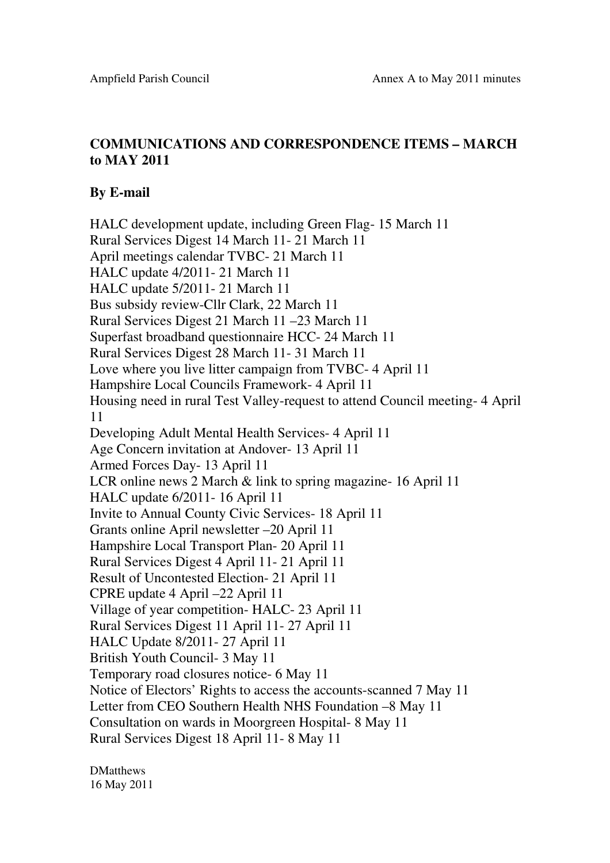## **COMMUNICATIONS AND CORRESPONDENCE ITEMS – MARCH to MAY 2011**

## **By E-mail**

HALC development update, including Green Flag- 15 March 11 Rural Services Digest 14 March 11- 21 March 11 April meetings calendar TVBC- 21 March 11 HALC update 4/2011- 21 March 11 HALC update 5/2011- 21 March 11 Bus subsidy review-Cllr Clark, 22 March 11 Rural Services Digest 21 March 11 –23 March 11 Superfast broadband questionnaire HCC- 24 March 11 Rural Services Digest 28 March 11- 31 March 11 Love where you live litter campaign from TVBC- 4 April 11 Hampshire Local Councils Framework- 4 April 11 Housing need in rural Test Valley-request to attend Council meeting- 4 April 11 Developing Adult Mental Health Services- 4 April 11 Age Concern invitation at Andover- 13 April 11 Armed Forces Day- 13 April 11 LCR online news 2 March & link to spring magazine- 16 April 11 HALC update 6/2011- 16 April 11 Invite to Annual County Civic Services- 18 April 11 Grants online April newsletter –20 April 11 Hampshire Local Transport Plan- 20 April 11 Rural Services Digest 4 April 11- 21 April 11 Result of Uncontested Election- 21 April 11 CPRE update 4 April –22 April 11 Village of year competition- HALC- 23 April 11 Rural Services Digest 11 April 11- 27 April 11 HALC Update 8/2011- 27 April 11 British Youth Council- 3 May 11 Temporary road closures notice- 6 May 11 Notice of Electors' Rights to access the accounts-scanned 7 May 11 Letter from CEO Southern Health NHS Foundation –8 May 11 Consultation on wards in Moorgreen Hospital- 8 May 11 Rural Services Digest 18 April 11- 8 May 11

**DMatthews** 16 May 2011